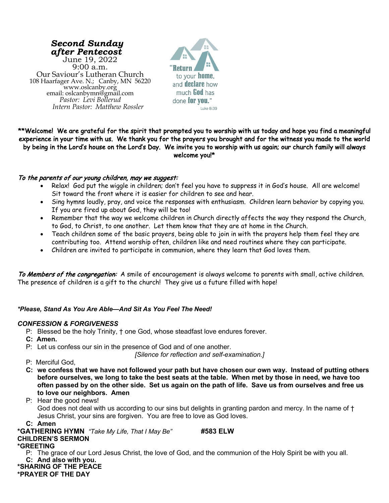*Second Sunday after Pentecost* June 19, 2022 9:00 a.m. Our Saviour's Lutheran Church<br>108 Haarfager Ave. N.; Canby, MN 56220 108 Haarfager Ave. N.; Canby, MN 56220 www.oslcanby.org email: oslcanbymn@gmail.com *Pastor: Levi Bollerud Intern Pastor: Matthew Rossler*



# \*\*Welcome! We are grateful for the spirit that prompted you to worship with us today and hope you find a meaningful experience in your time with us. We thank you for the prayers you brought and for the witness you made to the world by being in the Lord's house on the Lord's Day. We invite you to worship with us again; our church family will always welcome you!\*

# To the parents of our young children, may we suggest:

- Relax! God put the wiggle in children; don't feel you have to suppress it in God's house. All are welcome! Sit toward the front where it is easier for children to see and hear.
- Sing hymns loudly, pray, and voice the responses with enthusiasm. Children learn behavior by copying you. If you are fired up about God, they will be too!
- Remember that the way we welcome children in Church directly affects the way they respond the Church, to God, to Christ, to one another. Let them know that they are at home in the Church.
- Teach children some of the basic prayers, being able to join in with the prayers help them feel they are contributing too. Attend worship often, children like and need routines where they can participate.
- Children are invited to participate in communion, where they learn that God loves them.

To Members of the congregation: A smile of encouragement is always welcome to parents with small, active children. The presence of children is a gift to the church! They give us a future filled with hope!

# *\*Please, Stand As You Are Able—And Sit As You Feel The Need!*

## *CONFESSION & FORGIVENESS*

- P: Blessed be the holy Trinity, † one God, whose steadfast love endures forever.
- **C: Amen.**
- P: Let us confess our sin in the presence of God and of one another.

*[Silence for reflection and self-examination.]*

- P: Merciful God,
- **C: we confess that we have not followed your path but have chosen our own way. Instead of putting others before ourselves, we long to take the best seats at the table. When met by those in need, we have too often passed by on the other side. Set us again on the path of life. Save us from ourselves and free us to love our neighbors. Amen**

## P: Hear the good news!

God does not deal with us according to our sins but delights in granting pardon and mercy. In the name of † Jesus Christ, your sins are forgiven. You are free to love as God loves.

## **C: Amen**

**\*GATHERING HYMN** *"Take My Life, That I May Be"* **#583 ELW CHILDREN'S SERMON**

## **\*GREETING**

P: The grace of our Lord Jesus Christ, the love of God, and the communion of the Holy Spirit be with you all. **C: And also with you.**

#### **\*SHARING OF THE PEACE \*PRAYER OF THE DAY**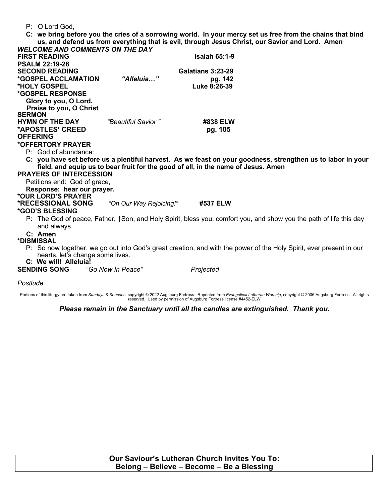## P: O Lord God,

**C: we bring before you the cries of a sorrowing world. In your mercy set us free from the chains that bind us, and defend us from everything that is evil, through Jesus Christ, our Savior and Lord. Amen**

| <b>WELCOME AND COMMENTS ON THE DAY</b>                                            |                         |                          |                                                                                                                     |  |  |  |
|-----------------------------------------------------------------------------------|-------------------------|--------------------------|---------------------------------------------------------------------------------------------------------------------|--|--|--|
| <b>FIRST READING</b>                                                              |                         | <b>Isaiah 65:1-9</b>     |                                                                                                                     |  |  |  |
| <b>PSALM 22:19-28</b>                                                             |                         |                          |                                                                                                                     |  |  |  |
| <b>SECOND READING</b>                                                             |                         | <b>Galatians 3:23-29</b> |                                                                                                                     |  |  |  |
| *GOSPEL ACCLAMATION                                                               | "Alleluia"              | pg. 142                  |                                                                                                                     |  |  |  |
| *HOLY GOSPEL                                                                      |                         | Luke 8:26-39             |                                                                                                                     |  |  |  |
| *GOSPEL RESPONSE                                                                  |                         |                          |                                                                                                                     |  |  |  |
| Glory to you, O Lord.                                                             |                         |                          |                                                                                                                     |  |  |  |
| Praise to you, O Christ                                                           |                         |                          |                                                                                                                     |  |  |  |
| <b>SERMON</b>                                                                     |                         |                          |                                                                                                                     |  |  |  |
| <b>HYMN OF THE DAY</b>                                                            | "Beautiful Savior"      | #838 ELW                 |                                                                                                                     |  |  |  |
| *APOSTLES' CREED                                                                  |                         | pg. 105                  |                                                                                                                     |  |  |  |
| <b>OFFERING</b>                                                                   |                         |                          |                                                                                                                     |  |  |  |
| *OFFERTORY PRAYER                                                                 |                         |                          |                                                                                                                     |  |  |  |
| P: God of abundance:                                                              |                         |                          |                                                                                                                     |  |  |  |
|                                                                                   |                         |                          | C: you have set before us a plentiful harvest. As we feast on your goodness, strengthen us to labor in your         |  |  |  |
| field, and equip us to bear fruit for the good of all, in the name of Jesus. Amen |                         |                          |                                                                                                                     |  |  |  |
| <b>PRAYERS OF INTERCESSION</b>                                                    |                         |                          |                                                                                                                     |  |  |  |
| Petitions end: God of grace,                                                      |                         |                          |                                                                                                                     |  |  |  |
| Response: hear our prayer.                                                        |                         |                          |                                                                                                                     |  |  |  |
| *OUR LORD'S PRAYER                                                                |                         |                          |                                                                                                                     |  |  |  |
| <b>*RECESSIONAL SONG</b>                                                          | "On Our Way Rejoicing!" | #537 ELW                 |                                                                                                                     |  |  |  |
| <i><b>*GOD'S BLESSING</b></i>                                                     |                         |                          |                                                                                                                     |  |  |  |
| and always.                                                                       |                         |                          | P: The God of peace, Father, †Son, and Holy Spirit, bless you, comfort you, and show you the path of life this day  |  |  |  |
| C: Amen                                                                           |                         |                          |                                                                                                                     |  |  |  |
| *DISMISSAL                                                                        |                         |                          |                                                                                                                     |  |  |  |
|                                                                                   |                         |                          | P: So now together, we go out into God's great creation, and with the power of the Holy Spirit, ever present in our |  |  |  |
| hearts, let's change some lives.                                                  |                         |                          |                                                                                                                     |  |  |  |
| C: We will! Alleluia!                                                             |                         |                          |                                                                                                                     |  |  |  |
| <b>SENDING SONG</b>                                                               | "Go Now In Peace"       | Projected                |                                                                                                                     |  |  |  |
|                                                                                   |                         |                          |                                                                                                                     |  |  |  |

## *Postlude*

Portions of this liturgy are taken from S*undays & Seasons*, copyright © 2022 Augsburg Fortress. Reprinted from *Evangelical Lutheran Worship*, copyright © 2006 Augsburg Fortress. All rights<br>reserved. Used by permission of

## *Please remain in the Sanctuary until all the candles are extinguished. Thank you.*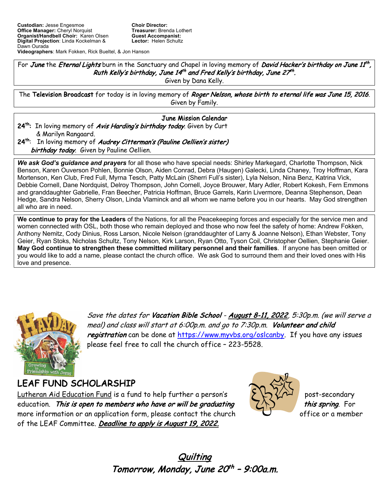**Videographers**: Mark Fokken, Rick Bueltel, & Jon Hanson

For June the Eternal Lights burn in the Sanctuary and Chapel in loving memory of David Hacker's birthday on June 11<sup>th</sup>, Ruth Kelly's birthday, June 14<sup>th</sup> and Fred Kelly's birthday, June 27<sup>th</sup>.

Given by Dana Kelly.

The Television Broadcast for today is in loving memory of Roger Nelson, whose birth to eternal life was June 15, 2016. Given by Family.

# June Mission Calendar

- 24<sup>th</sup>: In loving memory of Avis Harding's birthday today. Given by Curt & Marilyn Rangaard. 24<sup>th</sup>: In loving memory of Audrey Citterman's (Pauline Oellien's sister)
	- birthday today. Given by Pauline Oellien.

*We ask God's guidance and prayers* for all those who have special needs: Shirley Markegard, Charlotte Thompson, Nick Benson, Karen Ouverson Pohlen, Bonnie Olson, Aiden Conrad, Debra (Haugen) Galecki, Linda Chaney, Troy Hoffman, Kara Mortenson, Ken Club, Fred Full, Myrna Tesch, Patty McLain (Sherri Full's sister), Lyla Nelson, Nina Benz, Katrina Vick, Debbie Cornell, Dane Nordquist, Delroy Thompson, John Cornell, Joyce Brouwer, Mary Adler, Robert Kokesh, Fern Emmons and granddaughter Gabrielle, Fran Beecher, Patricia Hoffman, Bruce Garrels, Karin Livermore, Deanna Stephenson, Dean Hedge, Sandra Nelson, Sherry Olson, Linda Vlaminck and all whom we name before you in our hearts. May God strengthen all who are in need.

**We continue to pray for the Leaders** of the Nations, for all the Peacekeeping forces and especially for the service men and women connected with OSL, both those who remain deployed and those who now feel the safety of home: Andrew Fokken, Anthony Nemitz, Cody Dinius, Ross Larson, Nicole Nelson (granddaughter of Larry & Joanne Nelson), Ethan Webster, Tony Geier, Ryan Stoks, Nicholas Schultz, Tony Nelson, Kirk Larson, Ryan Otto, Tyson Coil, Christopher Oellien, Stephanie Geier. **May God continue to strengthen these committed military personnel and their families**. If anyone has been omitted or you would like to add a name, please contact the church office. We ask God to surround them and their loved ones with His love and presence.



Save the dates for Vacation Bible School - August 8-11, 2022, 5:30p.m. (we will serve a meal) and class will start at 6:00p.m. and go to 7:30p.m. Volunteer and child registration can be done at https://www.myvbs.org/oslcanby. If you have any issues please feel free to call the church office – 223-5528.

LEAF FUND SCHOLARSHIP Lutheran Aid Education Fund is a fund to help further a person's  $\sum_{n=1}^{\infty}$   $\sum_{n=1}^{\infty}$  post-secondary education. This is open to members who have or will be graduating  $\left(\frac{1}{\lambda}\right)$  this spring. For more information or an application form, please contact the church  $\Box$  office or a member of the LEAF Committee. Deadline to apply is August 19, 2022.



Quilting Tomorrow, Monday, June 20<sup>th</sup> - 9:00a.m.